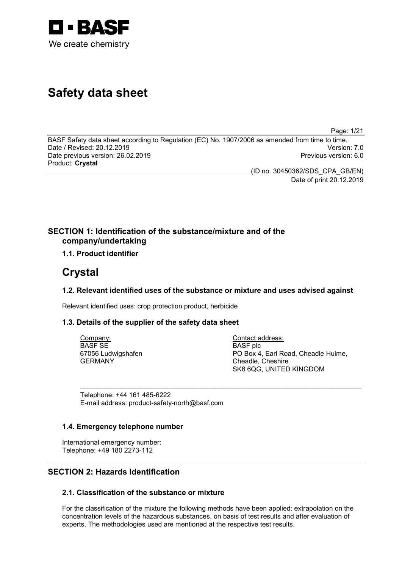

# **Safety data sheet**

Page: 1/21

BASF Safety data sheet according to Regulation (EC) No. 1907/2006 as amended from time to time. Date / Revised: 20.12.2019 Version: 7.0 Date previous version: 26.02.2019 Product: **Crystal**

(ID no. 30450362/SDS\_CPA\_GB/EN) Date of print 20.12.2019

## **SECTION 1: Identification of the substance/mixture and of the company/undertaking**

## **1.1. Product identifier**

## **Crystal**

## **1.2. Relevant identified uses of the substance or mixture and uses advised against**

\_\_\_\_\_\_\_\_\_\_\_\_\_\_\_\_\_\_\_\_\_\_\_\_\_\_\_\_\_\_\_\_\_\_\_\_\_\_\_\_\_\_\_\_\_\_\_\_\_\_\_\_\_\_\_\_\_\_\_\_\_\_\_\_\_\_\_\_\_\_\_\_\_\_\_

Relevant identified uses: crop protection product, herbicide

## **1.3. Details of the supplier of the safety data sheet**

Company: BASF SE 67056 Ludwigshafen GERMANY

Contact address: BASF plc PO Box 4, Earl Road, Cheadle Hulme, Cheadle, Cheshire SK8 6QG, UNITED KINGDOM

Telephone: +44 161 485-6222 E-mail address: product-safety-north@basf.com

## **1.4. Emergency telephone number**

International emergency number: Telephone: +49 180 2273-112

## **SECTION 2: Hazards Identification**

## **2.1. Classification of the substance or mixture**

For the classification of the mixture the following methods have been applied: extrapolation on the concentration levels of the hazardous substances, on basis of test results and after evaluation of experts. The methodologies used are mentioned at the respective test results.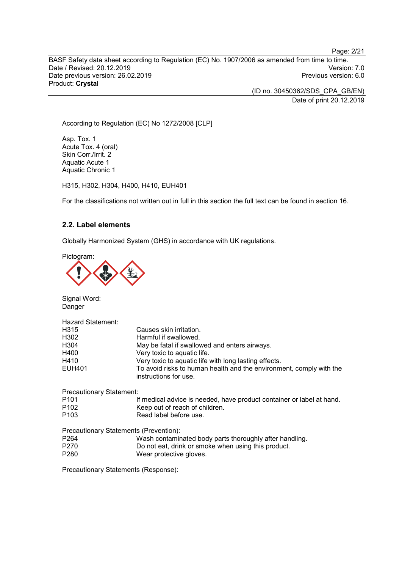Page: 2/21

BASF Safety data sheet according to Regulation (EC) No. 1907/2006 as amended from time to time. Date / Revised: 20.12.2019 Version: 7.0 Date previous version: 26.02.2019 Product: **Crystal**

> (ID no. 30450362/SDS\_CPA\_GB/EN) Date of print 20.12.2019

#### According to Regulation (EC) No 1272/2008 [CLP]

Asp. Tox. 1 Acute Tox. 4 (oral) Skin Corr./Irrit. 2 Aquatic Acute 1 Aquatic Chronic 1

H315, H302, H304, H400, H410, EUH401

For the classifications not written out in full in this section the full text can be found in section 16.

#### **2.2. Label elements**

Globally Harmonized System (GHS) in accordance with UK regulations.

Pictogram:



Signal Word: Danger

| Hazard Statement:               |                                                                                              |
|---------------------------------|----------------------------------------------------------------------------------------------|
| H315                            | Causes skin irritation.                                                                      |
| H302                            | Harmful if swallowed.                                                                        |
| H304                            | May be fatal if swallowed and enters airways.                                                |
| H400                            | Very toxic to aquatic life.                                                                  |
| H410                            | Very toxic to aquatic life with long lasting effects.                                        |
| <b>EUH401</b>                   | To avoid risks to human health and the environment, comply with the<br>instructions for use. |
| <b>Precautionary Statement:</b> |                                                                                              |

| P <sub>101</sub> | If medical advice is needed, have product container or label at hand. |
|------------------|-----------------------------------------------------------------------|
| P <sub>102</sub> | Keep out of reach of children.                                        |
| P <sub>103</sub> | Read label before use.                                                |

|                  | Precautionary Statements (Prevention):                  |  |
|------------------|---------------------------------------------------------|--|
| P <sub>264</sub> | Wash contaminated body parts thoroughly after handling. |  |

- P270 Do not eat, drink or smoke when using this product.<br>P280 Wear protective gloves.
- Wear protective gloves.

Precautionary Statements (Response):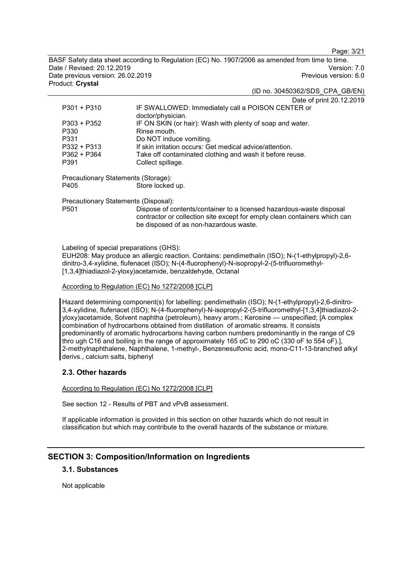Page: 3/21

BASF Safety data sheet according to Regulation (EC) No. 1907/2006 as amended from time to time. Date / Revised: 20.12.2019 Version: 7.0 Date previous version: 26.02.2019 Product: **Crystal**

(ID no. 30450362/SDS\_CPA\_GB/EN)

Date of print 20.12.2019

| $P301 + P310$                        | IF SWALLOWED: Immediately call a POISON CENTER or<br>doctor/physician.                                                                                                                      |  |
|--------------------------------------|---------------------------------------------------------------------------------------------------------------------------------------------------------------------------------------------|--|
| $P303 + P352$                        | IF ON SKIN (or hair): Wash with plenty of soap and water.                                                                                                                                   |  |
| P330                                 | Rinse mouth.                                                                                                                                                                                |  |
| P331                                 | Do NOT induce vomiting.                                                                                                                                                                     |  |
| $P332 + P313$                        | If skin irritation occurs: Get medical advice/attention.                                                                                                                                    |  |
| $P362 + P364$                        | Take off contaminated clothing and wash it before reuse.                                                                                                                                    |  |
| P391                                 | Collect spillage.                                                                                                                                                                           |  |
| Precautionary Statements (Storage):  |                                                                                                                                                                                             |  |
| P405                                 | Store locked up.                                                                                                                                                                            |  |
| Precautionary Statements (Disposal): |                                                                                                                                                                                             |  |
| P <sub>501</sub>                     | Dispose of contents/container to a licensed hazardous-waste disposal<br>contractor or collection site except for empty clean containers which can<br>be disposed of as non-hazardous waste. |  |

Labeling of special preparations (GHS):

EUH208: May produce an allergic reaction. Contains: pendimethalin (ISO); N-(1-ethylpropyl)-2,6 dinitro-3,4-xylidine, flufenacet (ISO); N-(4-fluorophenyl)-N-isopropyl-2-(5-trifluoromethyl- [1,3,4]thiadiazol-2-yloxy)acetamide, benzaldehyde, Octanal

#### According to Regulation (EC) No 1272/2008 [CLP]

Hazard determining component(s) for labelling: pendimethalin (ISO); N-(1-ethylpropyl)-2,6-dinitro-3,4-xylidine, flufenacet (ISO); N-(4-fluorophenyl)-N-isopropyl-2-(5-trifluoromethyl-[1,3,4]thiadiazol-2 yloxy)acetamide, Solvent naphtha (petroleum), heavy arom.; Kerosine — unspecified; [A complex combination of hydrocarbons obtained from distillation of aromatic streams. It consists predominantly of aromatic hydrocarbons having carbon numbers predominantly in the range of C9 thro ugh C16 and boiling in the range of approximately 165 oC to 290 oC (330 oF to 554 oF).], 2-methylnaphthalene, Naphthalene, 1-methyl-, Benzenesulfonic acid, mono-C11-13-branched alkyl derivs., calcium salts, biphenyl

#### **2.3. Other hazards**

According to Regulation (EC) No 1272/2008 [CLP]

See section 12 - Results of PBT and vPvB assessment.

If applicable information is provided in this section on other hazards which do not result in classification but which may contribute to the overall hazards of the substance or mixture.

## **SECTION 3: Composition/Information on Ingredients**

## **3.1. Substances**

Not applicable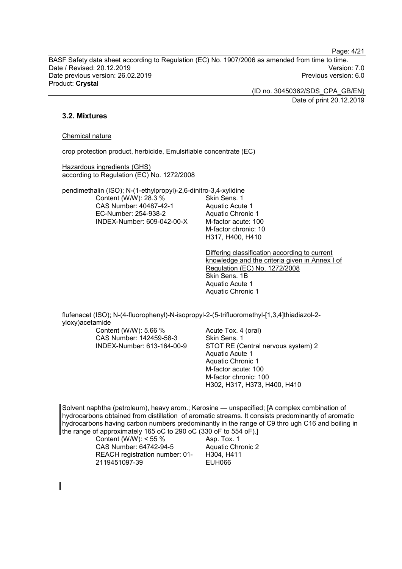Page: 4/21

BASF Safety data sheet according to Regulation (EC) No. 1907/2006 as amended from time to time. Date / Revised: 20.12.2019 Version: 7.0 Date previous version: 26.02.2019 Product: **Crystal**

> (ID no. 30450362/SDS\_CPA\_GB/EN) Date of print 20.12.2019

### **3.2. Mixtures**

#### Chemical nature

crop protection product, herbicide, Emulsifiable concentrate (EC)

Hazardous ingredients (GHS) according to Regulation (EC) No. 1272/2008

pendimethalin (ISO); N-(1-ethylpropyl)-2,6-dinitro-3,4-xylidine Content (W/W): 28.3 % CAS Number: 40487-42-1 EC-Number: 254-938-2 INDEX-Number: 609-042-00-X

Skin Sens. 1 Aquatic Acute 1 Aquatic Chronic 1 M-factor acute: 100 M-factor chronic: 10 H317, H400, H410

Differing classification according to current knowledge and the criteria given in Annex I of Regulation (EC) No. 1272/2008 Skin Sens. 1B Aquatic Acute 1 Aquatic Chronic 1

flufenacet (ISO); N-(4-fluorophenyl)-N-isopropyl-2-(5-trifluoromethyl-[1,3,4]thiadiazol-2 yloxy)acetamide

Content (W/W): 5.66 % CAS Number: 142459-58-3 INDEX-Number: 613-164-00-9 Acute Tox. 4 (oral) Skin Sens. 1 STOT RE (Central nervous system) 2 Aquatic Acute 1 Aquatic Chronic 1 M-factor acute: 100 M-factor chronic: 100 H302, H317, H373, H400, H410

Solvent naphtha (petroleum), heavy arom.; Kerosine — unspecified; [A complex combination of hydrocarbons obtained from distillation of aromatic streams. It consists predominantly of aromatic hydrocarbons having carbon numbers predominantly in the range of C9 thro ugh C16 and boiling in the range of approximately 165 oC to 290 oC (330 oF to 554 oF).]

> Content (W/W): < 55 % CAS Number: 64742-94-5 REACH registration number: 01- 2119451097-39

Asp. Tox. 1 Aquatic Chronic 2 H304, H411 EUH066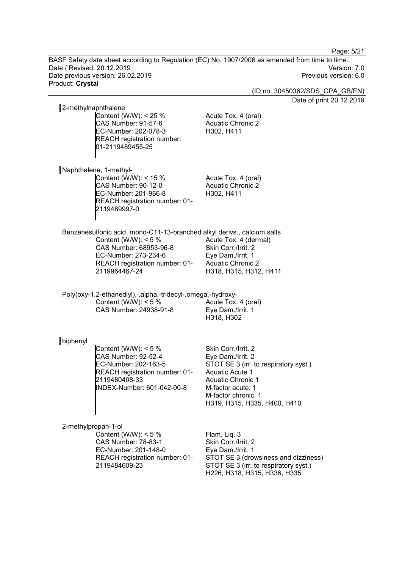Page: 5/21

BASF Safety data sheet according to Regulation (EC) No. 1907/2006 as amended from time to time.<br>Date / Revised: 20.12.2019 Version: 7.0 Date / Revised: 20.12.2019 Version: 7.0 Date previous version: 26.02.2019 Previous version: 6.0 Product: **Crystal**

(ID no. 30450362/SDS\_CPA\_GB/EN)

Date of print 20.12.2019

| 2-methylnaphthalene |                                                                                                                                        |                                                                               |
|---------------------|----------------------------------------------------------------------------------------------------------------------------------------|-------------------------------------------------------------------------------|
|                     | Content (W/W): $<$ 25 %<br><b>CAS Number: 91-57-6</b><br>EC-Number: 202-078-3<br><b>REACH registration number:</b><br>01-2119489455-25 | Acute Tox. 4 (oral)<br><b>Aquatic Chronic 2</b><br>H302, H411                 |
|                     | Naphthalene, 1-methyl-                                                                                                                 |                                                                               |
|                     | Content (W/W): $<$ 15 %<br>CAS Number: 90-12-0<br>EC-Number: 201-966-8<br>REACH registration number: 01-<br>2119489997-0               | Acute Tox. 4 (oral)<br>Aquatic Chronic 2<br>H302, H411                        |
|                     | Benzenesulfonic acid, mono-C11-13-branched alkyl derivs., calcium salts                                                                |                                                                               |
|                     | Content (W/W): $<$ 5 %                                                                                                                 | Acute Tox. 4 (dermal)                                                         |
|                     | CAS Number: 68953-96-8                                                                                                                 | Skin Corr./Irrit. 2                                                           |
|                     | EC-Number: 273-234-6                                                                                                                   | Eye Dam./Irrit. 1                                                             |
|                     | REACH registration number: 01-<br>2119964467-24                                                                                        | <b>Aquatic Chronic 2</b><br>H318, H315, H312, H411                            |
|                     |                                                                                                                                        |                                                                               |
|                     | Poly(oxy-1,2-ethanediyl), .alpha.-tridecyl-.omega.-hydroxy-                                                                            |                                                                               |
|                     | Content (W/W): $<$ 5 %                                                                                                                 | Acute Tox. 4 (oral)                                                           |
|                     | CAS Number: 24938-91-8                                                                                                                 | Eye Dam./Irrit. 1                                                             |
|                     |                                                                                                                                        | H318, H302                                                                    |
| biphenyl            |                                                                                                                                        |                                                                               |
|                     | Content (W/W): $<$ 5 %                                                                                                                 | Skin Corr./Irrit. 2                                                           |
|                     | <b>CAS Number: 92-52-4</b>                                                                                                             | Eye Dam./Irrit. 2                                                             |
|                     | EC-Number: 202-163-5                                                                                                                   | STOT SE 3 (irr. to respiratory syst.)                                         |
|                     | REACH registration number: 01-                                                                                                         | Aquatic Acute 1                                                               |
|                     | 2119480408-33                                                                                                                          | <b>Aquatic Chronic 1</b>                                                      |
|                     | INDEX-Number: 601-042-00-8                                                                                                             | M-factor acute: 1                                                             |
|                     |                                                                                                                                        | M-factor chronic: 1<br>H319, H315, H335, H400, H410                           |
|                     |                                                                                                                                        |                                                                               |
| 2-methylpropan-1-ol |                                                                                                                                        |                                                                               |
|                     | Content (W/W): $<$ 5 %                                                                                                                 | Flam. Liq. 3                                                                  |
|                     | <b>CAS Number: 78-83-1</b>                                                                                                             | Skin Corr./Irrit. 2                                                           |
|                     | EC-Number: 201-148-0                                                                                                                   | Eye Dam./Irrit. 1                                                             |
|                     | REACH registration number: 01-<br>2119484609-23                                                                                        | STOT SE 3 (drowsiness and dizziness)<br>STOT SE 3 (irr. to respiratory syst.) |
|                     |                                                                                                                                        | H226, H318, H315, H336, H335                                                  |
|                     |                                                                                                                                        |                                                                               |
|                     |                                                                                                                                        |                                                                               |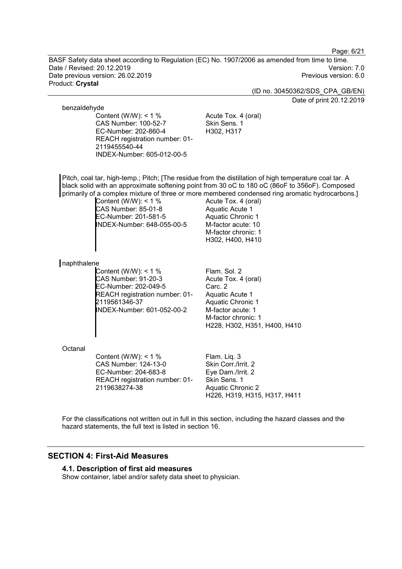Page: 6/21

BASF Safety data sheet according to Regulation (EC) No. 1907/2006 as amended from time to time. Date / Revised: 20.12.2019 Version: 7.0 Date previous version: 26.02.2019 Product: **Crystal**

(ID no. 30450362/SDS\_CPA\_GB/EN)

Date of print 20.12.2019

#### benzaldehyde

Content (W/W):  $< 1$  % CAS Number: 100-52-7 EC-Number: 202-860-4 REACH registration number: 01- 2119455540-44 INDEX-Number: 605-012-00-5

Acute Tox. 4 (oral) Skin Sens. 1 H302, H317

Pitch, coal tar, high-temp.; Pitch; [The residue from the distillation of high temperature coal tar. A black solid with an approximate softening point from 30 oC to 180 oC (86oF to 356oF). Composed primarily of a complex mixture of three or more membered condensed ring aromatic hydrocarbons.]

Content (W/W): < 1 % CAS Number: 85-01-8 EC-Number: 201-581-5 INDEX-Number: 648-055-00-5 Acute Tox. 4 (oral) Aquatic Acute 1 Aquatic Chronic 1 M-factor acute: 10 M-factor chronic: 1 H302, H400, H410

#### naphthalene

Content (W/W):  $< 1 \%$ CAS Number: 91-20-3 EC-Number: 202-049-5 REACH registration number: 01- 2119561346-37 INDEX-Number: 601-052-00-2

Flam. Sol. 2 Acute Tox. 4 (oral) Carc. 2 Aquatic Acute 1 Aquatic Chronic 1 M-factor acute: 1 M-factor chronic: 1 H228, H302, H351, H400, H410

#### **Octanal**

Content (W/W):  $< 1$  % CAS Number: 124-13-0 EC-Number: 204-683-8 REACH registration number: 01- 2119638274-38

Flam. Liq. 3 Skin Corr./Irrit. 2 Eye Dam./Irrit. 2 Skin Sens. 1 Aquatic Chronic 2 H226, H319, H315, H317, H411

For the classifications not written out in full in this section, including the hazard classes and the hazard statements, the full text is listed in section 16.

## **SECTION 4: First-Aid Measures**

#### **4.1. Description of first aid measures**

Show container, label and/or safety data sheet to physician.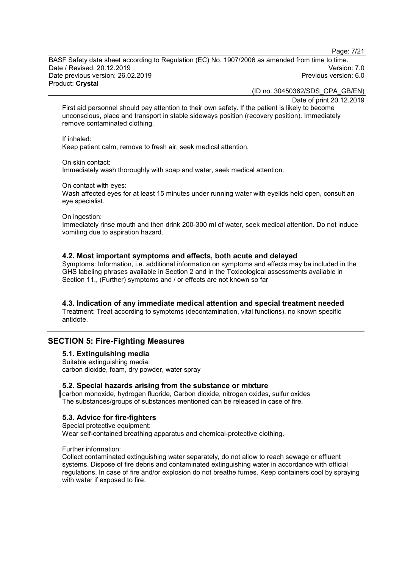Page: 7/21

BASF Safety data sheet according to Regulation (EC) No. 1907/2006 as amended from time to time. Date / Revised: 20.12.2019 Version: 7.0 Date previous version: 26.02.2019 Product: **Crystal**

(ID no. 30450362/SDS\_CPA\_GB/EN)

Date of print 20.12.2019

First aid personnel should pay attention to their own safety. If the patient is likely to become unconscious, place and transport in stable sideways position (recovery position). Immediately remove contaminated clothing.

#### If inhaled:

Keep patient calm, remove to fresh air, seek medical attention.

On skin contact:

Immediately wash thoroughly with soap and water, seek medical attention.

On contact with eyes:

Wash affected eyes for at least 15 minutes under running water with eyelids held open, consult an eye specialist.

On ingestion:

Immediately rinse mouth and then drink 200-300 ml of water, seek medical attention. Do not induce vomiting due to aspiration hazard.

#### **4.2. Most important symptoms and effects, both acute and delayed**

Symptoms: Information, i.e. additional information on symptoms and effects may be included in the GHS labeling phrases available in Section 2 and in the Toxicological assessments available in Section 11., (Further) symptoms and / or effects are not known so far

#### **4.3. Indication of any immediate medical attention and special treatment needed**

Treatment: Treat according to symptoms (decontamination, vital functions), no known specific antidote.

## **SECTION 5: Fire-Fighting Measures**

## **5.1. Extinguishing media**

Suitable extinguishing media: carbon dioxide, foam, dry powder, water spray

#### **5.2. Special hazards arising from the substance or mixture**

carbon monoxide, hydrogen fluoride, Carbon dioxide, nitrogen oxides, sulfur oxides The substances/groups of substances mentioned can be released in case of fire.

#### **5.3. Advice for fire-fighters**

Special protective equipment: Wear self-contained breathing apparatus and chemical-protective clothing.

#### Further information:

Collect contaminated extinguishing water separately, do not allow to reach sewage or effluent systems. Dispose of fire debris and contaminated extinguishing water in accordance with official regulations. In case of fire and/or explosion do not breathe fumes. Keep containers cool by spraying with water if exposed to fire.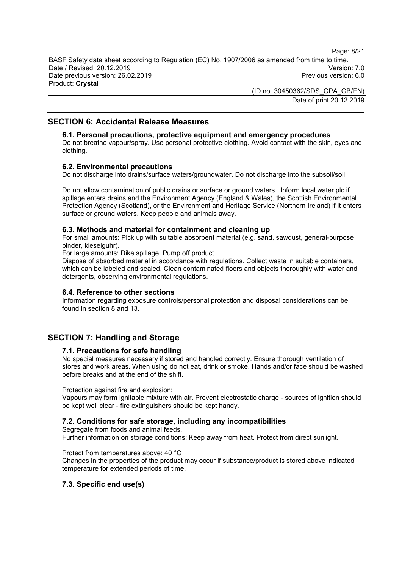Page: 8/21

BASF Safety data sheet according to Regulation (EC) No. 1907/2006 as amended from time to time. Date / Revised: 20.12.2019 Version: 7.0 Date previous version: 26.02.2019 Product: **Crystal**

> (ID no. 30450362/SDS\_CPA\_GB/EN) Date of print 20.12.2019

## **SECTION 6: Accidental Release Measures**

#### **6.1. Personal precautions, protective equipment and emergency procedures**

Do not breathe vapour/spray. Use personal protective clothing. Avoid contact with the skin, eyes and clothing.

#### **6.2. Environmental precautions**

Do not discharge into drains/surface waters/groundwater. Do not discharge into the subsoil/soil.

Do not allow contamination of public drains or surface or ground waters. Inform local water plc if spillage enters drains and the Environment Agency (England & Wales), the Scottish Environmental Protection Agency (Scotland), or the Environment and Heritage Service (Northern Ireland) if it enters surface or ground waters. Keep people and animals away.

#### **6.3. Methods and material for containment and cleaning up**

For small amounts: Pick up with suitable absorbent material (e.g. sand, sawdust, general-purpose binder, kieselguhr).

For large amounts: Dike spillage. Pump off product.

Dispose of absorbed material in accordance with regulations. Collect waste in suitable containers, which can be labeled and sealed. Clean contaminated floors and objects thoroughly with water and detergents, observing environmental regulations.

#### **6.4. Reference to other sections**

Information regarding exposure controls/personal protection and disposal considerations can be found in section 8 and 13.

## **SECTION 7: Handling and Storage**

#### **7.1. Precautions for safe handling**

No special measures necessary if stored and handled correctly. Ensure thorough ventilation of stores and work areas. When using do not eat, drink or smoke. Hands and/or face should be washed before breaks and at the end of the shift.

Protection against fire and explosion:

Vapours may form ignitable mixture with air. Prevent electrostatic charge - sources of ignition should be kept well clear - fire extinguishers should be kept handy.

#### **7.2. Conditions for safe storage, including any incompatibilities**

Segregate from foods and animal feeds.

Further information on storage conditions: Keep away from heat. Protect from direct sunlight.

Protect from temperatures above: 40 °C

Changes in the properties of the product may occur if substance/product is stored above indicated temperature for extended periods of time.

#### **7.3. Specific end use(s)**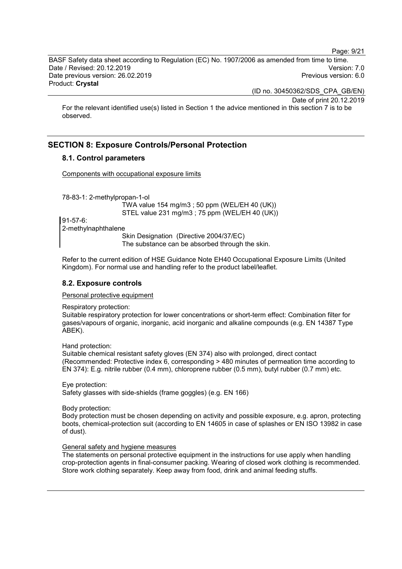Page: 9/21

BASF Safety data sheet according to Regulation (EC) No. 1907/2006 as amended from time to time. Date / Revised: 20.12.2019 Version: 7.0 Date previous version: 26.02.2019 Product: **Crystal**

(ID no. 30450362/SDS\_CPA\_GB/EN)

Date of print 20.12.2019

For the relevant identified use(s) listed in Section 1 the advice mentioned in this section 7 is to be observed.

## **SECTION 8: Exposure Controls/Personal Protection**

## **8.1. Control parameters**

Components with occupational exposure limits

78-83-1: 2-methylpropan-1-ol

TWA value 154 mg/m3 ; 50 ppm (WEL/EH 40 (UK)) STEL value 231 mg/m3 ; 75 ppm (WEL/EH 40 (UK))

91-57-6: 2-methylnaphthalene

Skin Designation (Directive 2004/37/EC) The substance can be absorbed through the skin.

Refer to the current edition of HSE Guidance Note EH40 Occupational Exposure Limits (United Kingdom). For normal use and handling refer to the product label/leaflet.

### **8.2. Exposure controls**

#### Personal protective equipment

Respiratory protection:

Suitable respiratory protection for lower concentrations or short-term effect: Combination filter for gases/vapours of organic, inorganic, acid inorganic and alkaline compounds (e.g. EN 14387 Type ABEK).

Hand protection:

Suitable chemical resistant safety gloves (EN 374) also with prolonged, direct contact (Recommended: Protective index 6, corresponding > 480 minutes of permeation time according to EN 374): E.g. nitrile rubber (0.4 mm), chloroprene rubber (0.5 mm), butyl rubber (0.7 mm) etc.

Eye protection: Safety glasses with side-shields (frame goggles) (e.g. EN 166)

Body protection:

Body protection must be chosen depending on activity and possible exposure, e.g. apron, protecting boots, chemical-protection suit (according to EN 14605 in case of splashes or EN ISO 13982 in case of dust).

#### General safety and hygiene measures

The statements on personal protective equipment in the instructions for use apply when handling crop-protection agents in final-consumer packing. Wearing of closed work clothing is recommended. Store work clothing separately. Keep away from food, drink and animal feeding stuffs.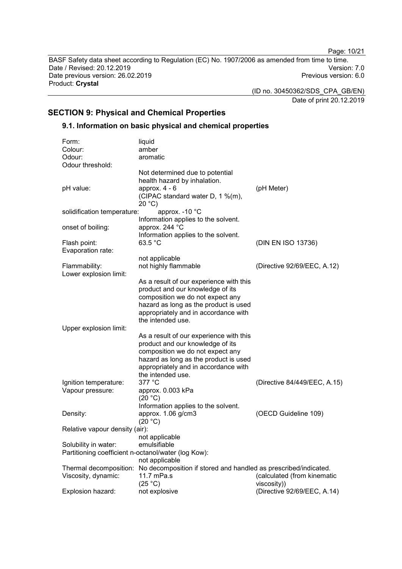Page: 10/21

BASF Safety data sheet according to Regulation (EC) No. 1907/2006 as amended from time to time. Date / Revised: 20.12.2019 Version: 7.0 Date previous version: 26.02.2019 Product: **Crystal**

(ID no. 30450362/SDS\_CPA\_GB/EN)

Date of print 20.12.2019

## **SECTION 9: Physical and Chemical Properties**

## **9.1. Information on basic physical and chemical properties**

| Form:                                               | liquid                                                                                 |                              |
|-----------------------------------------------------|----------------------------------------------------------------------------------------|------------------------------|
| Colour:                                             | amber                                                                                  |                              |
| Odour:                                              | aromatic                                                                               |                              |
| Odour threshold:                                    |                                                                                        |                              |
|                                                     | Not determined due to potential<br>health hazard by inhalation.                        |                              |
| pH value:                                           | approx. $4 - 6$<br>(CIPAC standard water D, 1 %(m),<br>20 °C                           | (pH Meter)                   |
| solidification temperature:                         | approx. -10 °C                                                                         |                              |
|                                                     | Information applies to the solvent.<br>approx. 244 °C                                  |                              |
| onset of boiling:                                   | Information applies to the solvent.                                                    |                              |
| Flash point:                                        | 63.5 °C                                                                                | (DIN EN ISO 13736)           |
| Evaporation rate:                                   |                                                                                        |                              |
|                                                     | not applicable                                                                         |                              |
| Flammability:                                       | not highly flammable                                                                   | (Directive 92/69/EEC, A.12)  |
| Lower explosion limit:                              |                                                                                        |                              |
|                                                     | As a result of our experience with this                                                |                              |
|                                                     | product and our knowledge of its                                                       |                              |
|                                                     | composition we do not expect any                                                       |                              |
|                                                     | hazard as long as the product is used                                                  |                              |
|                                                     | appropriately and in accordance with                                                   |                              |
|                                                     | the intended use.                                                                      |                              |
| Upper explosion limit:                              |                                                                                        |                              |
|                                                     | As a result of our experience with this                                                |                              |
|                                                     | product and our knowledge of its                                                       |                              |
|                                                     | composition we do not expect any                                                       |                              |
|                                                     | hazard as long as the product is used                                                  |                              |
|                                                     | appropriately and in accordance with                                                   |                              |
|                                                     | the intended use.                                                                      |                              |
| Ignition temperature:                               | 377 °C                                                                                 | (Directive 84/449/EEC, A.15) |
| Vapour pressure:                                    | approx. 0.003 kPa<br>(20 °C)                                                           |                              |
|                                                     | Information applies to the solvent.                                                    |                              |
| Density:                                            | approx. 1.06 g/cm3                                                                     | (OECD Guideline 109)         |
|                                                     | (20 °C)                                                                                |                              |
| Relative vapour density (air):                      |                                                                                        |                              |
|                                                     | not applicable                                                                         |                              |
| Solubility in water:                                | emulsifiable                                                                           |                              |
| Partitioning coefficient n-octanol/water (log Kow): |                                                                                        |                              |
|                                                     | not applicable                                                                         |                              |
|                                                     | Thermal decomposition: No decomposition if stored and handled as prescribed/indicated. |                              |
| Viscosity, dynamic:                                 | 11.7 mPa.s                                                                             | (calculated (from kinematic  |
|                                                     | (25 °C)                                                                                | viscosity))                  |
| Explosion hazard:                                   | not explosive                                                                          | (Directive 92/69/EEC, A.14)  |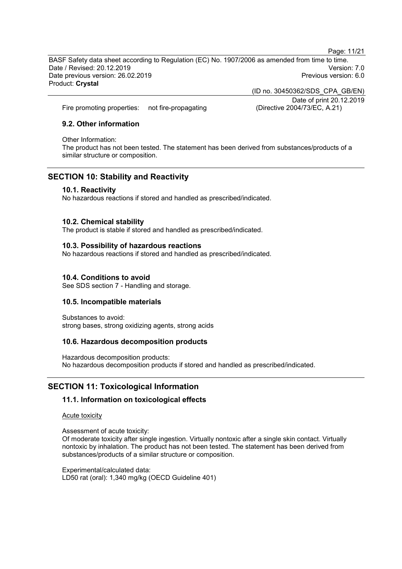Page: 11/21

BASF Safety data sheet according to Regulation (EC) No. 1907/2006 as amended from time to time. Date / Revised: 20.12.2019 Version: 7.0 Date previous version: 26.02.2019 Product: **Crystal**

Fire promoting properties: not fire-propagating (Directive 2004/73/EC, A.21)

### **9.2. Other information**

Other Information:

The product has not been tested. The statement has been derived from substances/products of a similar structure or composition.

## **SECTION 10: Stability and Reactivity**

#### **10.1. Reactivity**

No hazardous reactions if stored and handled as prescribed/indicated.

#### **10.2. Chemical stability**

The product is stable if stored and handled as prescribed/indicated.

#### **10.3. Possibility of hazardous reactions**

No hazardous reactions if stored and handled as prescribed/indicated.

#### **10.4. Conditions to avoid**

See SDS section 7 - Handling and storage.

#### **10.5. Incompatible materials**

Substances to avoid: strong bases, strong oxidizing agents, strong acids

#### **10.6. Hazardous decomposition products**

Hazardous decomposition products: No hazardous decomposition products if stored and handled as prescribed/indicated.

## **SECTION 11: Toxicological Information**

#### **11.1. Information on toxicological effects**

Acute toxicity

Assessment of acute toxicity:

Of moderate toxicity after single ingestion. Virtually nontoxic after a single skin contact. Virtually nontoxic by inhalation. The product has not been tested. The statement has been derived from substances/products of a similar structure or composition.

Experimental/calculated data: LD50 rat (oral): 1,340 mg/kg (OECD Guideline 401) (ID no. 30450362/SDS\_CPA\_GB/EN) Date of print 20.12.2019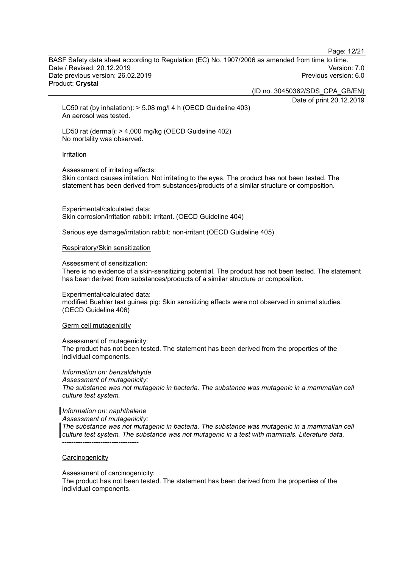Page: 12/21

BASF Safety data sheet according to Regulation (EC) No. 1907/2006 as amended from time to time. Date / Revised: 20.12.2019 Version: 7.0 Date previous version: 26.02.2019 Product: **Crystal**

(ID no. 30450362/SDS\_CPA\_GB/EN)

Date of print 20.12.2019

LC50 rat (by inhalation): > 5.08 mg/l 4 h (OECD Guideline 403) An aerosol was tested.

LD50 rat (dermal): > 4,000 mg/kg (OECD Guideline 402) No mortality was observed.

#### Irritation

Assessment of irritating effects:

Skin contact causes irritation. Not irritating to the eyes. The product has not been tested. The statement has been derived from substances/products of a similar structure or composition.

Experimental/calculated data: Skin corrosion/irritation rabbit: Irritant. (OECD Guideline 404)

Serious eye damage/irritation rabbit: non-irritant (OECD Guideline 405)

#### Respiratory/Skin sensitization

Assessment of sensitization:

There is no evidence of a skin-sensitizing potential. The product has not been tested. The statement has been derived from substances/products of a similar structure or composition.

Experimental/calculated data: modified Buehler test guinea pig: Skin sensitizing effects were not observed in animal studies. (OECD Guideline 406)

#### Germ cell mutagenicity

Assessment of mutagenicity: The product has not been tested. The statement has been derived from the properties of the individual components.

*Information on: benzaldehyde Assessment of mutagenicity: The substance was not mutagenic in bacteria. The substance was mutagenic in a mammalian cell culture test system.*

#### *Information on: naphthalene*

*Assessment of mutagenicity:*

*The substance was not mutagenic in bacteria. The substance was mutagenic in a mammalian cell culture test system. The substance was not mutagenic in a test with mammals. Literature data.* ----------------------------------

#### **Carcinogenicity**

Assessment of carcinogenicity:

The product has not been tested. The statement has been derived from the properties of the individual components.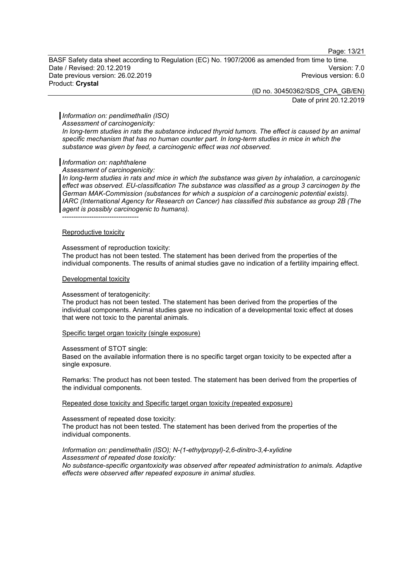Page: 13/21

BASF Safety data sheet according to Regulation (EC) No. 1907/2006 as amended from time to time. Date / Revised: 20.12.2019 Version: 7.0 Date previous version: 26.02.2019 Product: **Crystal**

> (ID no. 30450362/SDS\_CPA\_GB/EN) Date of print 20.12.2019

#### *Information on: pendimethalin (ISO)*

*Assessment of carcinogenicity:*

*In long-term studies in rats the substance induced thyroid tumors. The effect is caused by an animal specific mechanism that has no human counter part. In long-term studies in mice in which the substance was given by feed, a carcinogenic effect was not observed.*

#### *Information on: naphthalene*

*Assessment of carcinogenicity:*

*In long-term studies in rats and mice in which the substance was given by inhalation, a carcinogenic effect was observed. EU-classification The substance was classified as a group 3 carcinogen by the German MAK-Commission (substances for which a suspicion of a carcinogenic potential exists). IARC (International Agency for Research on Cancer) has classified this substance as group 2B (The agent is possibly carcinogenic to humans).*

----------------------------------

#### Reproductive toxicity

#### Assessment of reproduction toxicity:

The product has not been tested. The statement has been derived from the properties of the individual components. The results of animal studies gave no indication of a fertility impairing effect.

#### Developmental toxicity

#### Assessment of teratogenicity:

The product has not been tested. The statement has been derived from the properties of the individual components. Animal studies gave no indication of a developmental toxic effect at doses that were not toxic to the parental animals.

#### Specific target organ toxicity (single exposure)

Assessment of STOT single:

Based on the available information there is no specific target organ toxicity to be expected after a single exposure.

Remarks: The product has not been tested. The statement has been derived from the properties of the individual components.

Repeated dose toxicity and Specific target organ toxicity (repeated exposure)

Assessment of repeated dose toxicity: The product has not been tested. The statement has been derived from the properties of the individual components.

#### *Information on: pendimethalin (ISO); N-(1-ethylpropyl)-2,6-dinitro-3,4-xylidine Assessment of repeated dose toxicity: No substance-specific organtoxicity was observed after repeated administration to animals. Adaptive effects were observed after repeated exposure in animal studies.*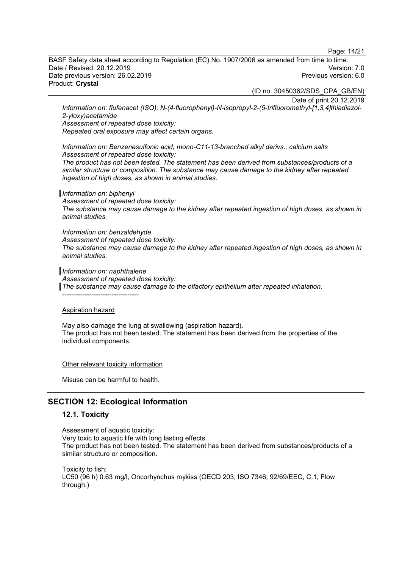Page: 14/21

BASF Safety data sheet according to Regulation (EC) No. 1907/2006 as amended from time to time. Date / Revised: 20.12.2019 Version: 7.0 Date previous version: 26.02.2019 Product: **Crystal**

(ID no. 30450362/SDS\_CPA\_GB/EN)

Date of print 20.12.2019

*Information on: flufenacet (ISO); N-(4-fluorophenyl)-N-isopropyl-2-(5-trifluoromethyl-[1,3,4]thiadiazol-2-yloxy)acetamide*

*Assessment of repeated dose toxicity:*

*Repeated oral exposure may affect certain organs.*

*Information on: Benzenesulfonic acid, mono-C11-13-branched alkyl derivs., calcium salts Assessment of repeated dose toxicity:*

*The product has not been tested. The statement has been derived from substances/products of a similar structure or composition. The substance may cause damage to the kidney after repeated ingestion of high doses, as shown in animal studies.*

#### *Information on: biphenyl*

*Assessment of repeated dose toxicity: The substance may cause damage to the kidney after repeated ingestion of high doses, as shown in animal studies.*

*Information on: benzaldehyde Assessment of repeated dose toxicity: The substance may cause damage to the kidney after repeated ingestion of high doses, as shown in animal studies.*

*Information on: naphthalene*

----------------------------------

*Assessment of repeated dose toxicity:*

*The substance may cause damage to the olfactory epithelium after repeated inhalation.*

#### Aspiration hazard

May also damage the lung at swallowing (aspiration hazard). The product has not been tested. The statement has been derived from the properties of the individual components.

Other relevant toxicity information

Misuse can be harmful to health.

## **SECTION 12: Ecological Information**

#### **12.1. Toxicity**

Assessment of aquatic toxicity: Very toxic to aquatic life with long lasting effects. The product has not been tested. The statement has been derived from substances/products of a similar structure or composition.

Toxicity to fish: LC50 (96 h) 0.63 mg/l, Oncorhynchus mykiss (OECD 203; ISO 7346; 92/69/EEC, C.1, Flow through.)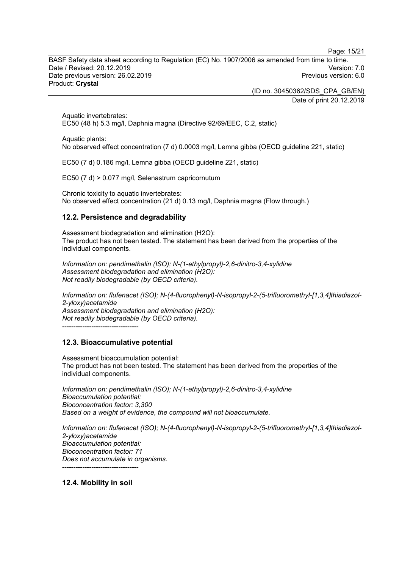Page: 15/21

BASF Safety data sheet according to Regulation (EC) No. 1907/2006 as amended from time to time. Date / Revised: 20.12.2019 Version: 7.0 Date previous version: 26.02.2019 Product: **Crystal**

> (ID no. 30450362/SDS\_CPA\_GB/EN) Date of print 20.12.2019

Aquatic invertebrates: EC50 (48 h) 5.3 mg/l, Daphnia magna (Directive 92/69/EEC, C.2, static)

Aquatic plants: No observed effect concentration (7 d) 0.0003 mg/l, Lemna gibba (OECD guideline 221, static)

EC50 (7 d) 0.186 mg/l, Lemna gibba (OECD guideline 221, static)

EC50 (7 d) > 0.077 mg/l, Selenastrum capricornutum

Chronic toxicity to aquatic invertebrates: No observed effect concentration (21 d) 0.13 mg/l, Daphnia magna (Flow through.)

## **12.2. Persistence and degradability**

Assessment biodegradation and elimination (H2O): The product has not been tested. The statement has been derived from the properties of the individual components.

*Information on: pendimethalin (ISO); N-(1-ethylpropyl)-2,6-dinitro-3,4-xylidine Assessment biodegradation and elimination (H2O): Not readily biodegradable (by OECD criteria).*

*Information on: flufenacet (ISO); N-(4-fluorophenyl)-N-isopropyl-2-(5-trifluoromethyl-[1,3,4]thiadiazol-2-yloxy)acetamide Assessment biodegradation and elimination (H2O): Not readily biodegradable (by OECD criteria).* ----------------------------------

## **12.3. Bioaccumulative potential**

Assessment bioaccumulation potential: The product has not been tested. The statement has been derived from the properties of the individual components.

*Information on: pendimethalin (ISO); N-(1-ethylpropyl)-2,6-dinitro-3,4-xylidine Bioaccumulation potential: Bioconcentration factor: 3,300 Based on a weight of evidence, the compound will not bioaccumulate.*

*Information on: flufenacet (ISO); N-(4-fluorophenyl)-N-isopropyl-2-(5-trifluoromethyl-[1,3,4]thiadiazol-2-yloxy)acetamide Bioaccumulation potential: Bioconcentration factor: 71 Does not accumulate in organisms.* ----------------------------------

**12.4. Mobility in soil**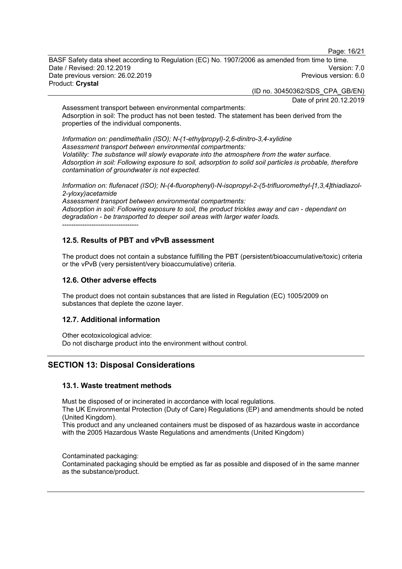Page: 16/21

BASF Safety data sheet according to Regulation (EC) No. 1907/2006 as amended from time to time. Date / Revised: 20.12.2019 Version: 7.0 Date previous version: 26.02.2019 Product: **Crystal**

(ID no. 30450362/SDS\_CPA\_GB/EN)

Date of print 20.12.2019

Assessment transport between environmental compartments: Adsorption in soil: The product has not been tested. The statement has been derived from the properties of the individual components.

*Information on: pendimethalin (ISO); N-(1-ethylpropyl)-2,6-dinitro-3,4-xylidine Assessment transport between environmental compartments: Volatility: The substance will slowly evaporate into the atmosphere from the water surface. Adsorption in soil: Following exposure to soil, adsorption to solid soil particles is probable, therefore contamination of groundwater is not expected.*

*Information on: flufenacet (ISO); N-(4-fluorophenyl)-N-isopropyl-2-(5-trifluoromethyl-[1,3,4]thiadiazol-2-yloxy)acetamide*

*Assessment transport between environmental compartments: Adsorption in soil: Following exposure to soil, the product trickles away and can - dependant on degradation - be transported to deeper soil areas with larger water loads.* ----------------------------------

## **12.5. Results of PBT and vPvB assessment**

The product does not contain a substance fulfilling the PBT (persistent/bioaccumulative/toxic) criteria or the vPvB (very persistent/very bioaccumulative) criteria.

#### **12.6. Other adverse effects**

The product does not contain substances that are listed in Regulation (EC) 1005/2009 on substances that deplete the ozone layer.

#### **12.7. Additional information**

Other ecotoxicological advice: Do not discharge product into the environment without control.

## **SECTION 13: Disposal Considerations**

#### **13.1. Waste treatment methods**

Must be disposed of or incinerated in accordance with local regulations.

The UK Environmental Protection (Duty of Care) Regulations (EP) and amendments should be noted (United Kingdom).

This product and any uncleaned containers must be disposed of as hazardous waste in accordance with the 2005 Hazardous Waste Regulations and amendments (United Kingdom)

Contaminated packaging:

Contaminated packaging should be emptied as far as possible and disposed of in the same manner as the substance/product.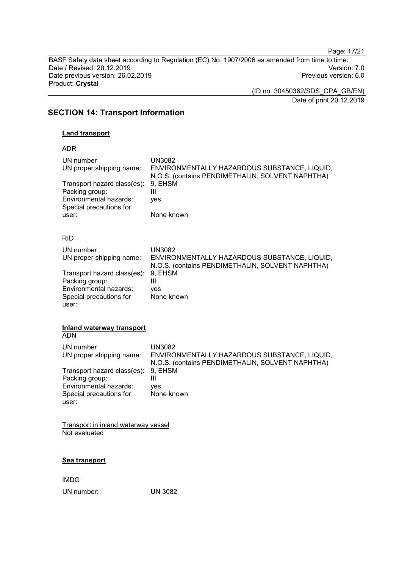Page: 17/21

BASF Safety data sheet according to Regulation (EC) No. 1907/2006 as amended from time to time. Date / Revised: 20.12.2019<br>
Date previous version: 26.02.2019<br>
Previous version: 6.0 Date previous version: 26.02.2019 Product: **Crystal**

> (ID no. 30450362/SDS\_CPA\_GB/EN) Date of print 20.12.2019

## **SECTION 14: Transport Information**

## **Land transport**

ADR

| UN number<br>UN proper shipping name:<br>Transport hazard class(es):<br>Packing group:<br>Environmental hazards:<br>Special precautions for<br>user: | <b>UN3082</b><br>ENVIRONMENTALLY HAZARDOUS SUBSTANCE, LIQUID,<br>N.O.S. (contains PENDIMETHALIN, SOLVENT NAPHTHA)<br>9, EHSM<br>Ш<br>yes<br>None known              |
|------------------------------------------------------------------------------------------------------------------------------------------------------|---------------------------------------------------------------------------------------------------------------------------------------------------------------------|
| <b>RID</b>                                                                                                                                           |                                                                                                                                                                     |
| UN number<br>UN proper shipping name:<br>Transport hazard class(es):<br>Packing group:<br>Environmental hazards:<br>Special precautions for<br>user: | <b>UN3082</b><br>ENVIRONMENTALLY HAZARDOUS SUBSTANCE, LIQUID,<br>N.O.S. (contains PENDIMETHALIN, SOLVENT NAPHTHA)<br>9, EHSM<br>$\mathbf{III}$<br>ves<br>None known |
| Inland waterway transport<br><b>ADN</b>                                                                                                              |                                                                                                                                                                     |
| UN number<br>UN proper shipping name:                                                                                                                | <b>UN3082</b><br>ENVIRONMENTALLY HAZARDOUS SUBSTANCE, LIQUID,<br>N.O.S. (contains PENDIMETHALIN, SOLVENT NAPHTHA)                                                   |
| Transport hazard class(es):<br>Packing group:<br>Environmental hazards:<br>Special precautions for<br>user:                                          | 9, EHSM<br>$\mathbf{III}$<br>yes<br>None known                                                                                                                      |
| Transport in inland waterway vessel                                                                                                                  |                                                                                                                                                                     |

Not evaluated

#### **Sea transport**

IMDG UN number: UN 3082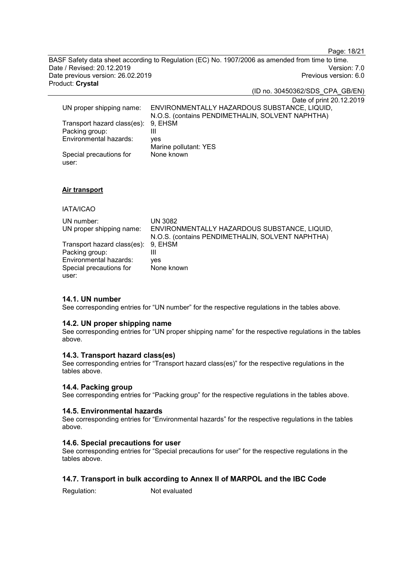Page: 18/21

BASF Safety data sheet according to Regulation (EC) No. 1907/2006 as amended from time to time. Date / Revised: 20.12.2019 Version: 7.0 Date previous version: 26.02.2019 Product: **Crystal**

(ID no. 30450362/SDS\_CPA\_GB/EN)

Date of print 20.12.2019

|                                     | $D$ alo VI print $L_{\rm V}$ . 12.               |
|-------------------------------------|--------------------------------------------------|
| UN proper shipping name:            | ENVIRONMENTALLY HAZARDOUS SUBSTANCE, LIQUID,     |
|                                     | N.O.S. (contains PENDIMETHALIN, SOLVENT NAPHTHA) |
| Transport hazard class(es): 9, EHSM |                                                  |
| Packing group:                      | Ш                                                |
| Environmental hazards:              | ves                                              |
|                                     | Marine pollutant: YES                            |
| Special precautions for             | None known                                       |
| user:                               |                                                  |

#### **Air transport**

#### IATA/ICAO

| UN number:                          | <b>UN 3082</b>                                   |
|-------------------------------------|--------------------------------------------------|
| UN proper shipping name:            | ENVIRONMENTALLY HAZARDOUS SUBSTANCE, LIQUID,     |
|                                     | N.O.S. (contains PENDIMETHALIN, SOLVENT NAPHTHA) |
| Transport hazard class(es): 9, EHSM |                                                  |
| Packing group:                      |                                                  |
| Environmental hazards:              | ves                                              |
| Special precautions for             | None known                                       |
| user:                               |                                                  |

### **14.1. UN number**

See corresponding entries for "UN number" for the respective regulations in the tables above.

#### **14.2. UN proper shipping name**

See corresponding entries for "UN proper shipping name" for the respective regulations in the tables above.

## **14.3. Transport hazard class(es)**

See corresponding entries for "Transport hazard class(es)" for the respective regulations in the tables above.

#### **14.4. Packing group**

See corresponding entries for "Packing group" for the respective regulations in the tables above.

#### **14.5. Environmental hazards**

See corresponding entries for "Environmental hazards" for the respective regulations in the tables above.

#### **14.6. Special precautions for user**

See corresponding entries for "Special precautions for user" for the respective regulations in the tables above.

## **14.7. Transport in bulk according to Annex II of MARPOL and the IBC Code**

Regulation: Not evaluated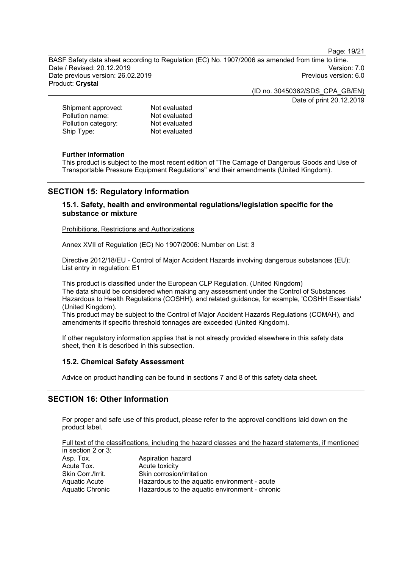Page: 19/21

BASF Safety data sheet according to Regulation (EC) No. 1907/2006 as amended from time to time. Date / Revised: 20.12.2019 Version: 7.0 Date previous version: 26.02.2019 Product: **Crystal**

> (ID no. 30450362/SDS\_CPA\_GB/EN) Date of print 20.12.2019

| Shipment approved:  | Not evaluated |
|---------------------|---------------|
| Pollution name:     | Not evaluated |
| Pollution category: | Not evaluated |
| Ship Type:          | Not evaluated |
|                     |               |

#### **Further information**

This product is subject to the most recent edition of "The Carriage of Dangerous Goods and Use of Transportable Pressure Equipment Regulations" and their amendments (United Kingdom).

## **SECTION 15: Regulatory Information**

## **15.1. Safety, health and environmental regulations/legislation specific for the substance or mixture**

Prohibitions, Restrictions and Authorizations

Annex XVII of Regulation (EC) No 1907/2006: Number on List: 3

Directive 2012/18/EU - Control of Major Accident Hazards involving dangerous substances (EU): List entry in regulation: E1

This product is classified under the European CLP Regulation. (United Kingdom) The data should be considered when making any assessment under the Control of Substances Hazardous to Health Regulations (COSHH), and related guidance, for example, 'COSHH Essentials' (United Kingdom).

This product may be subject to the Control of Major Accident Hazards Regulations (COMAH), and amendments if specific threshold tonnages are exceeded (United Kingdom).

If other regulatory information applies that is not already provided elsewhere in this safety data sheet, then it is described in this subsection.

#### **15.2. Chemical Safety Assessment**

Advice on product handling can be found in sections 7 and 8 of this safety data sheet.

## **SECTION 16: Other Information**

For proper and safe use of this product, please refer to the approval conditions laid down on the product label.

Full text of the classifications, including the hazard classes and the hazard statements, if mentioned in section 2 or 3:

| Asp. Tox.         | Aspiration hazard                              |
|-------------------|------------------------------------------------|
| Acute Tox.        | Acute toxicity                                 |
| Skin Corr./Irrit. | Skin corrosion/irritation                      |
| Aquatic Acute     | Hazardous to the aquatic environment - acute   |
| Aquatic Chronic   | Hazardous to the aquatic environment - chronic |
|                   |                                                |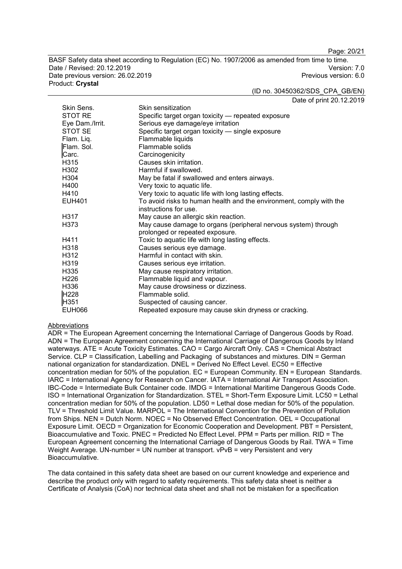Page: 20/21

BASF Safety data sheet according to Regulation (EC) No. 1907/2006 as amended from time to time. Date / Revised: 20.12.2019 Version: 7.0 Date previous version: 26.02.2019 Product: **Crystal**

(ID no. 30450362/SDS\_CPA\_GB/EN)

Date of print 20.12.2019

| Skin Sens.       | Skin sensitization                                                  |
|------------------|---------------------------------------------------------------------|
| <b>STOT RE</b>   | Specific target organ toxicity - repeated exposure                  |
| Eye Dam./Irrit.  | Serious eye damage/eye irritation                                   |
| STOT SE          | Specific target organ toxicity - single exposure                    |
| Flam. Liq.       | Flammable liquids                                                   |
| Flam. Sol.       | Flammable solids                                                    |
| Carc.            | Carcinogenicity                                                     |
| H315             | Causes skin irritation.                                             |
| H302             | Harmful if swallowed.                                               |
| H304             | May be fatal if swallowed and enters airways.                       |
| H400             | Very toxic to aquatic life.                                         |
| H410             | Very toxic to aquatic life with long lasting effects.               |
| <b>EUH401</b>    | To avoid risks to human health and the environment, comply with the |
|                  | instructions for use.                                               |
| H317             | May cause an allergic skin reaction.                                |
| H373             | May cause damage to organs (peripheral nervous system) through      |
|                  | prolonged or repeated exposure.                                     |
| H411             | Toxic to aquatic life with long lasting effects.                    |
| H318             | Causes serious eye damage.                                          |
| H312             | Harmful in contact with skin.                                       |
| H319             | Causes serious eye irritation.                                      |
| H335             | May cause respiratory irritation.                                   |
| H <sub>226</sub> | Flammable liquid and vapour.                                        |
| H336             | May cause drowsiness or dizziness.                                  |
| H <sub>228</sub> | Flammable solid.                                                    |
| H351             | Suspected of causing cancer.                                        |
| <b>EUH066</b>    | Repeated exposure may cause skin dryness or cracking.               |

#### Abbreviations

ADR = The European Agreement concerning the International Carriage of Dangerous Goods by Road. ADN = The European Agreement concerning the International Carriage of Dangerous Goods by Inland waterways. ATE = Acute Toxicity Estimates. CAO = Cargo Aircraft Only. CAS = Chemical Abstract Service. CLP = Classification, Labelling and Packaging of substances and mixtures. DIN = German national organization for standardization. DNEL = Derived No Effect Level. EC50 = Effective concentration median for 50% of the population. EC = European Community. EN = European Standards. IARC = International Agency for Research on Cancer. IATA = International Air Transport Association. IBC-Code = Intermediate Bulk Container code. IMDG = International Maritime Dangerous Goods Code. ISO = International Organization for Standardization. STEL = Short-Term Exposure Limit. LC50 = Lethal concentration median for 50% of the population. LD50 = Lethal dose median for 50% of the population. TLV = Threshold Limit Value. MARPOL = The International Convention for the Prevention of Pollution from Ships. NEN = Dutch Norm. NOEC = No Observed Effect Concentration. OEL = Occupational Exposure Limit. OECD = Organization for Economic Cooperation and Development. PBT = Persistent, Bioaccumulative and Toxic. PNEC = Predicted No Effect Level. PPM = Parts per million. RID = The European Agreement concerning the International Carriage of Dangerous Goods by Rail. TWA = Time Weight Average. UN-number = UN number at transport. vPvB = very Persistent and very Bioaccumulative.

The data contained in this safety data sheet are based on our current knowledge and experience and describe the product only with regard to safety requirements. This safety data sheet is neither a Certificate of Analysis (CoA) nor technical data sheet and shall not be mistaken for a specification